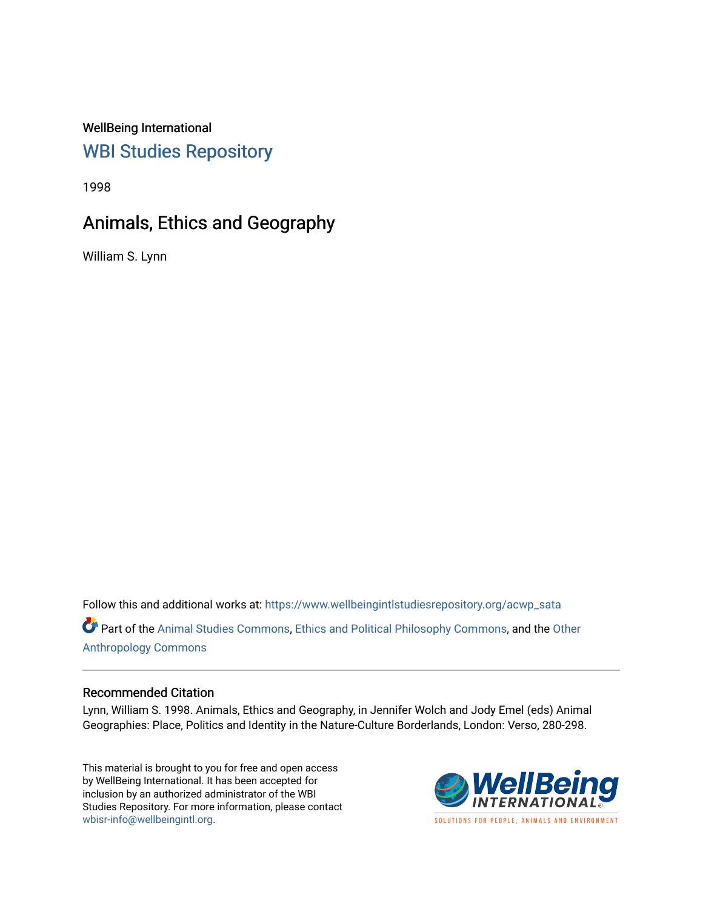WellBeing International [WBI Studies Repository](https://www.wellbeingintlstudiesrepository.org/)

1998

# Animals, Ethics and Geography

William S. Lynn

Follow this and additional works at: [https://www.wellbeingintlstudiesrepository.org/acwp\\_sata](https://www.wellbeingintlstudiesrepository.org/acwp_sata?utm_source=www.wellbeingintlstudiesrepository.org%2Facwp_sata%2F26&utm_medium=PDF&utm_campaign=PDFCoverPages)

Part of the [Animal Studies Commons,](http://network.bepress.com/hgg/discipline/1306?utm_source=www.wellbeingintlstudiesrepository.org%2Facwp_sata%2F26&utm_medium=PDF&utm_campaign=PDFCoverPages) [Ethics and Political Philosophy Commons,](http://network.bepress.com/hgg/discipline/529?utm_source=www.wellbeingintlstudiesrepository.org%2Facwp_sata%2F26&utm_medium=PDF&utm_campaign=PDFCoverPages) and the [Other](http://network.bepress.com/hgg/discipline/324?utm_source=www.wellbeingintlstudiesrepository.org%2Facwp_sata%2F26&utm_medium=PDF&utm_campaign=PDFCoverPages) [Anthropology Commons](http://network.bepress.com/hgg/discipline/324?utm_source=www.wellbeingintlstudiesrepository.org%2Facwp_sata%2F26&utm_medium=PDF&utm_campaign=PDFCoverPages)

# Recommended Citation

Lynn, William S. 1998. Animals, Ethics and Geography, in Jennifer Wolch and Jody Emel (eds) Animal Geographies: Place, Politics and Identity in the Nature-Culture Borderlands, London: Verso, 280-298.

This material is brought to you for free and open access by WellBeing International. It has been accepted for inclusion by an authorized administrator of the WBI Studies Repository. For more information, please contact [wbisr-info@wellbeingintl.org](mailto:wbisr-info@wellbeingintl.org).

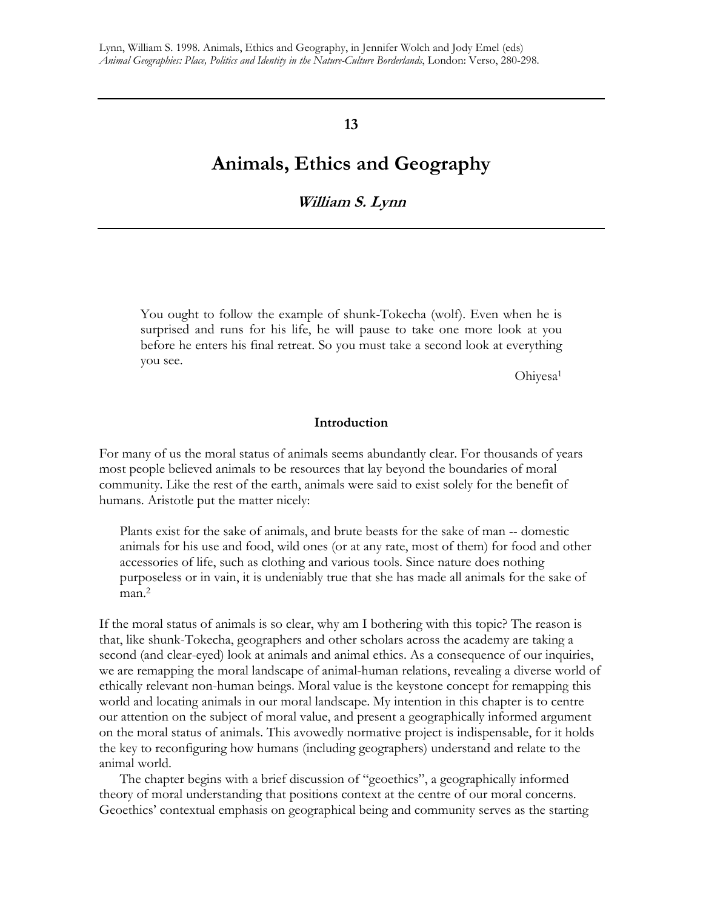# **13**

# **Animals, Ethics and Geography**

**William S. Lynn** 

You ought to follow the example of shunk-Tokecha (wolf). Even when he is surprised and runs for his life, he will pause to take one more look at you before he enters his final retreat. So you must take a second look at everything you see.

Ohiyesa1

# **Introduction**

For many of us the moral status of animals seems abundantly clear. For thousands of years most people believed animals to be resources that lay beyond the boundaries of moral community. Like the rest of the earth, animals were said to exist solely for the benefit of humans. Aristotle put the matter nicely:

Plants exist for the sake of animals, and brute beasts for the sake of man -- domestic animals for his use and food, wild ones (or at any rate, most of them) for food and other accessories of life, such as clothing and various tools. Since nature does nothing purposeless or in vain, it is undeniably true that she has made all animals for the sake of man.<sup>2</sup>

If the moral status of animals is so clear, why am I bothering with this topic? The reason is that, like shunk-Tokecha, geographers and other scholars across the academy are taking a second (and clear-eyed) look at animals and animal ethics. As a consequence of our inquiries, we are remapping the moral landscape of animal-human relations, revealing a diverse world of ethically relevant non-human beings. Moral value is the keystone concept for remapping this world and locating animals in our moral landscape. My intention in this chapter is to centre our attention on the subject of moral value, and present a geographically informed argument on the moral status of animals. This avowedly normative project is indispensable, for it holds the key to reconfiguring how humans (including geographers) understand and relate to the animal world.

The chapter begins with a brief discussion of "geoethics", a geographically informed theory of moral understanding that positions context at the centre of our moral concerns. Geoethics' contextual emphasis on geographical being and community serves as the starting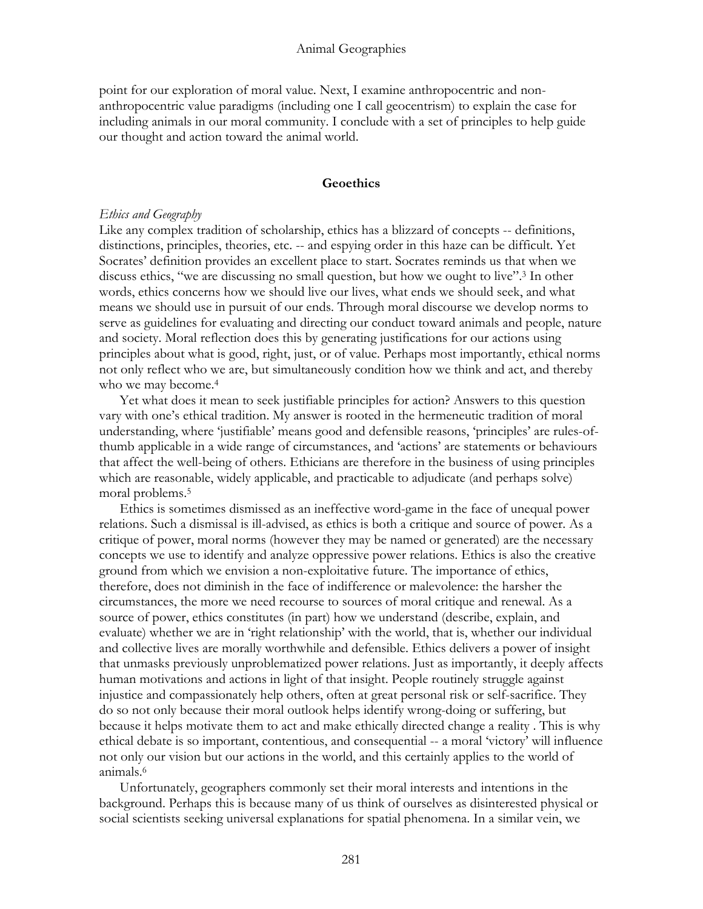point for our exploration of moral value. Next, I examine anthropocentric and nonanthropocentric value paradigms (including one I call geocentrism) to explain the case for including animals in our moral community. I conclude with a set of principles to help guide our thought and action toward the animal world.

# **Geoethics**

#### *Ethics and Geography*

Like any complex tradition of scholarship, ethics has a blizzard of concepts -- definitions, distinctions, principles, theories, etc. -- and espying order in this haze can be difficult. Yet Socrates' definition provides an excellent place to start. Socrates reminds us that when we discuss ethics, "we are discussing no small question, but how we ought to live".3 In other words, ethics concerns how we should live our lives, what ends we should seek, and what means we should use in pursuit of our ends. Through moral discourse we develop norms to serve as guidelines for evaluating and directing our conduct toward animals and people, nature and society. Moral reflection does this by generating justifications for our actions using principles about what is good, right, just, or of value. Perhaps most importantly, ethical norms not only reflect who we are, but simultaneously condition how we think and act, and thereby who we may become.<sup>4</sup>

Yet what does it mean to seek justifiable principles for action? Answers to this question vary with one's ethical tradition. My answer is rooted in the hermeneutic tradition of moral understanding, where 'justifiable' means good and defensible reasons, 'principles' are rules-ofthumb applicable in a wide range of circumstances, and 'actions' are statements or behaviours that affect the well-being of others. Ethicians are therefore in the business of using principles which are reasonable, widely applicable, and practicable to adjudicate (and perhaps solve) moral problems.5

Ethics is sometimes dismissed as an ineffective word-game in the face of unequal power relations. Such a dismissal is ill-advised, as ethics is both a critique and source of power. As a critique of power, moral norms (however they may be named or generated) are the necessary concepts we use to identify and analyze oppressive power relations. Ethics is also the creative ground from which we envision a non-exploitative future. The importance of ethics, therefore, does not diminish in the face of indifference or malevolence: the harsher the circumstances, the more we need recourse to sources of moral critique and renewal. As a source of power, ethics constitutes (in part) how we understand (describe, explain, and evaluate) whether we are in 'right relationship' with the world, that is, whether our individual and collective lives are morally worthwhile and defensible. Ethics delivers a power of insight that unmasks previously unproblematized power relations. Just as importantly, it deeply affects human motivations and actions in light of that insight. People routinely struggle against injustice and compassionately help others, often at great personal risk or self-sacrifice. They do so not only because their moral outlook helps identify wrong-doing or suffering, but because it helps motivate them to act and make ethically directed change a reality . This is why ethical debate is so important, contentious, and consequential -- a moral 'victory' will influence not only our vision but our actions in the world, and this certainly applies to the world of animals.6

Unfortunately, geographers commonly set their moral interests and intentions in the background. Perhaps this is because many of us think of ourselves as disinterested physical or social scientists seeking universal explanations for spatial phenomena. In a similar vein, we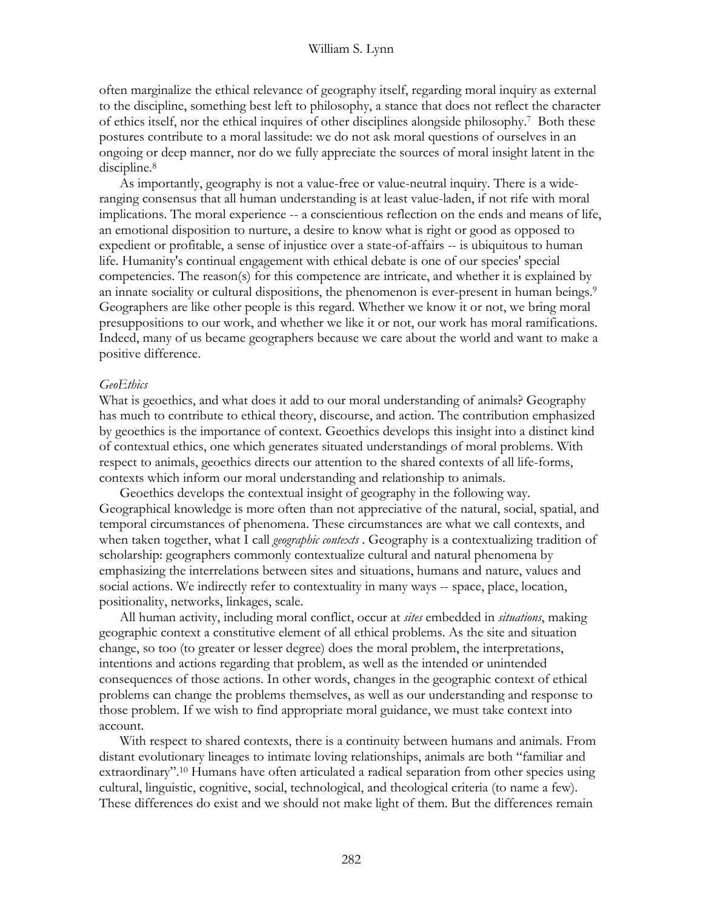often marginalize the ethical relevance of geography itself, regarding moral inquiry as external to the discipline, something best left to philosophy, a stance that does not reflect the character of ethics itself, nor the ethical inquires of other disciplines alongside philosophy.7 Both these postures contribute to a moral lassitude: we do not ask moral questions of ourselves in an ongoing or deep manner, nor do we fully appreciate the sources of moral insight latent in the discipline.<sup>8</sup>

As importantly, geography is not a value-free or value-neutral inquiry. There is a wideranging consensus that all human understanding is at least value-laden, if not rife with moral implications. The moral experience -- a conscientious reflection on the ends and means of life, an emotional disposition to nurture, a desire to know what is right or good as opposed to expedient or profitable, a sense of injustice over a state-of-affairs -- is ubiquitous to human life. Humanity's continual engagement with ethical debate is one of our species' special competencies. The reason(s) for this competence are intricate, and whether it is explained by an innate sociality or cultural dispositions, the phenomenon is ever-present in human beings.<sup>9</sup> Geographers are like other people is this regard. Whether we know it or not, we bring moral presuppositions to our work, and whether we like it or not, our work has moral ramifications. Indeed, many of us became geographers because we care about the world and want to make a positive difference.

## *GeoEthics*

What is geoethics, and what does it add to our moral understanding of animals? Geography has much to contribute to ethical theory, discourse, and action. The contribution emphasized by geoethics is the importance of context. Geoethics develops this insight into a distinct kind of contextual ethics, one which generates situated understandings of moral problems. With respect to animals, geoethics directs our attention to the shared contexts of all life-forms, contexts which inform our moral understanding and relationship to animals.

Geoethics develops the contextual insight of geography in the following way. Geographical knowledge is more often than not appreciative of the natural, social, spatial, and temporal circumstances of phenomena. These circumstances are what we call contexts, and when taken together, what I call *geographic contexts* . Geography is a contextualizing tradition of scholarship: geographers commonly contextualize cultural and natural phenomena by emphasizing the interrelations between sites and situations, humans and nature, values and social actions. We indirectly refer to contextuality in many ways -- space, place, location, positionality, networks, linkages, scale.

All human activity, including moral conflict, occur at *sites* embedded in *situations*, making geographic context a constitutive element of all ethical problems. As the site and situation change, so too (to greater or lesser degree) does the moral problem, the interpretations, intentions and actions regarding that problem, as well as the intended or unintended consequences of those actions. In other words, changes in the geographic context of ethical problems can change the problems themselves, as well as our understanding and response to those problem. If we wish to find appropriate moral guidance, we must take context into account.

With respect to shared contexts, there is a continuity between humans and animals. From distant evolutionary lineages to intimate loving relationships, animals are both "familiar and extraordinary".10 Humans have often articulated a radical separation from other species using cultural, linguistic, cognitive, social, technological, and theological criteria (to name a few). These differences do exist and we should not make light of them. But the differences remain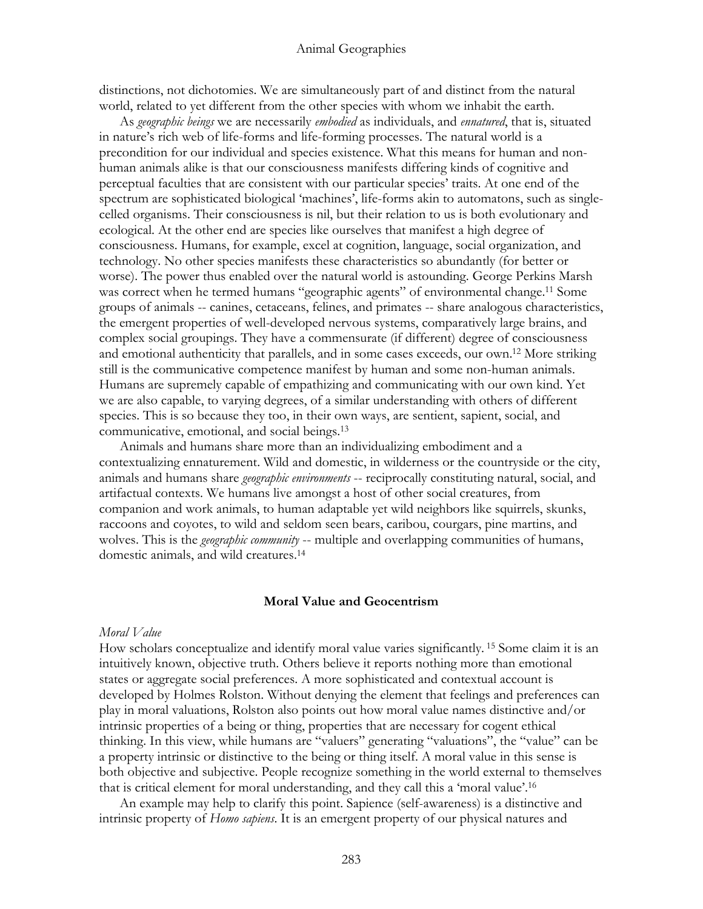distinctions, not dichotomies. We are simultaneously part of and distinct from the natural world, related to yet different from the other species with whom we inhabit the earth.

As *geographic beings* we are necessarily *embodied* as individuals, and *ennatured*, that is, situated in nature's rich web of life-forms and life-forming processes. The natural world is a precondition for our individual and species existence. What this means for human and nonhuman animals alike is that our consciousness manifests differing kinds of cognitive and perceptual faculties that are consistent with our particular species' traits. At one end of the spectrum are sophisticated biological 'machines', life-forms akin to automatons, such as singlecelled organisms. Their consciousness is nil, but their relation to us is both evolutionary and ecological. At the other end are species like ourselves that manifest a high degree of consciousness. Humans, for example, excel at cognition, language, social organization, and technology. No other species manifests these characteristics so abundantly (for better or worse). The power thus enabled over the natural world is astounding. George Perkins Marsh was correct when he termed humans "geographic agents" of environmental change.<sup>11</sup> Some groups of animals -- canines, cetaceans, felines, and primates -- share analogous characteristics, the emergent properties of well-developed nervous systems, comparatively large brains, and complex social groupings. They have a commensurate (if different) degree of consciousness and emotional authenticity that parallels, and in some cases exceeds, our own.12 More striking still is the communicative competence manifest by human and some non-human animals. Humans are supremely capable of empathizing and communicating with our own kind. Yet we are also capable, to varying degrees, of a similar understanding with others of different species. This is so because they too, in their own ways, are sentient, sapient, social, and communicative, emotional, and social beings.13

Animals and humans share more than an individualizing embodiment and a contextualizing ennaturement. Wild and domestic, in wilderness or the countryside or the city, animals and humans share *geographic environments* -- reciprocally constituting natural, social, and artifactual contexts. We humans live amongst a host of other social creatures, from companion and work animals, to human adaptable yet wild neighbors like squirrels, skunks, raccoons and coyotes, to wild and seldom seen bears, caribou, courgars, pine martins, and wolves. This is the *geographic community* -- multiple and overlapping communities of humans, domestic animals, and wild creatures.14

#### **Moral Value and Geocentrism**

#### *Moral Value*

How scholars conceptualize and identify moral value varies significantly. 15 Some claim it is an intuitively known, objective truth. Others believe it reports nothing more than emotional states or aggregate social preferences. A more sophisticated and contextual account is developed by Holmes Rolston. Without denying the element that feelings and preferences can play in moral valuations, Rolston also points out how moral value names distinctive and/or intrinsic properties of a being or thing, properties that are necessary for cogent ethical thinking. In this view, while humans are "valuers" generating "valuations", the "value" can be a property intrinsic or distinctive to the being or thing itself. A moral value in this sense is both objective and subjective. People recognize something in the world external to themselves that is critical element for moral understanding, and they call this a 'moral value'.16

An example may help to clarify this point. Sapience (self-awareness) is a distinctive and intrinsic property of *Homo sapiens*. It is an emergent property of our physical natures and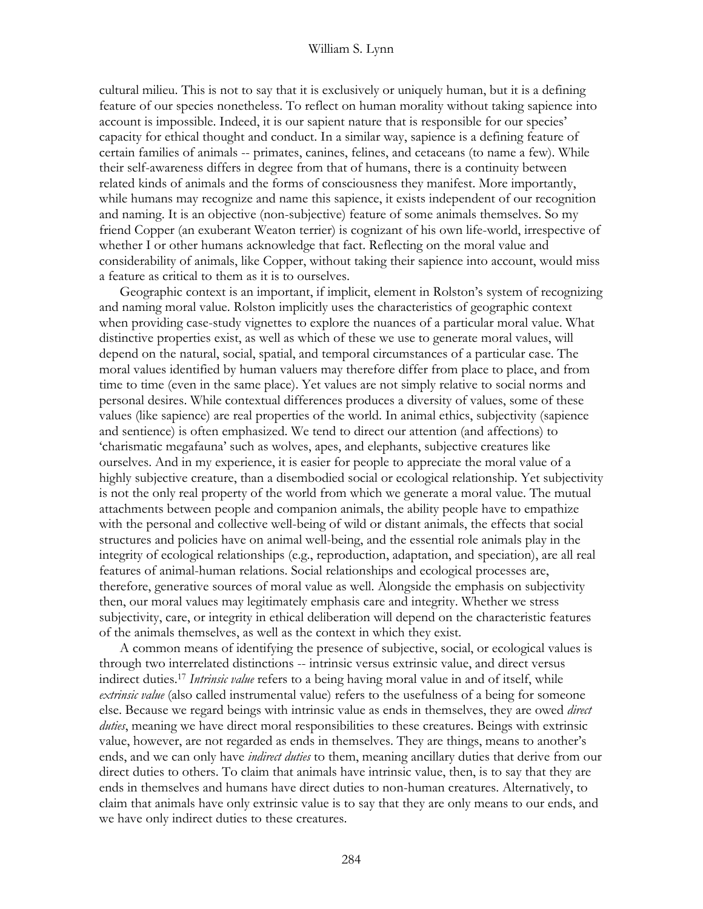cultural milieu. This is not to say that it is exclusively or uniquely human, but it is a defining feature of our species nonetheless. To reflect on human morality without taking sapience into account is impossible. Indeed, it is our sapient nature that is responsible for our species' capacity for ethical thought and conduct. In a similar way, sapience is a defining feature of certain families of animals -- primates, canines, felines, and cetaceans (to name a few). While their self-awareness differs in degree from that of humans, there is a continuity between related kinds of animals and the forms of consciousness they manifest. More importantly, while humans may recognize and name this sapience, it exists independent of our recognition and naming. It is an objective (non-subjective) feature of some animals themselves. So my friend Copper (an exuberant Weaton terrier) is cognizant of his own life-world, irrespective of whether I or other humans acknowledge that fact. Reflecting on the moral value and considerability of animals, like Copper, without taking their sapience into account, would miss a feature as critical to them as it is to ourselves.

Geographic context is an important, if implicit, element in Rolston's system of recognizing and naming moral value. Rolston implicitly uses the characteristics of geographic context when providing case-study vignettes to explore the nuances of a particular moral value. What distinctive properties exist, as well as which of these we use to generate moral values, will depend on the natural, social, spatial, and temporal circumstances of a particular case. The moral values identified by human valuers may therefore differ from place to place, and from time to time (even in the same place). Yet values are not simply relative to social norms and personal desires. While contextual differences produces a diversity of values, some of these values (like sapience) are real properties of the world. In animal ethics, subjectivity (sapience and sentience) is often emphasized. We tend to direct our attention (and affections) to 'charismatic megafauna' such as wolves, apes, and elephants, subjective creatures like ourselves. And in my experience, it is easier for people to appreciate the moral value of a highly subjective creature, than a disembodied social or ecological relationship. Yet subjectivity is not the only real property of the world from which we generate a moral value. The mutual attachments between people and companion animals, the ability people have to empathize with the personal and collective well-being of wild or distant animals, the effects that social structures and policies have on animal well-being, and the essential role animals play in the integrity of ecological relationships (e.g., reproduction, adaptation, and speciation), are all real features of animal-human relations. Social relationships and ecological processes are, therefore, generative sources of moral value as well. Alongside the emphasis on subjectivity then, our moral values may legitimately emphasis care and integrity. Whether we stress subjectivity, care, or integrity in ethical deliberation will depend on the characteristic features of the animals themselves, as well as the context in which they exist.

A common means of identifying the presence of subjective, social, or ecological values is through two interrelated distinctions -- intrinsic versus extrinsic value, and direct versus indirect duties.17 *Intrinsic value* refers to a being having moral value in and of itself, while *extrinsic value* (also called instrumental value) refers to the usefulness of a being for someone else. Because we regard beings with intrinsic value as ends in themselves, they are owed *direct duties*, meaning we have direct moral responsibilities to these creatures. Beings with extrinsic value, however, are not regarded as ends in themselves. They are things, means to another's ends, and we can only have *indirect duties* to them, meaning ancillary duties that derive from our direct duties to others. To claim that animals have intrinsic value, then, is to say that they are ends in themselves and humans have direct duties to non-human creatures. Alternatively, to claim that animals have only extrinsic value is to say that they are only means to our ends, and we have only indirect duties to these creatures.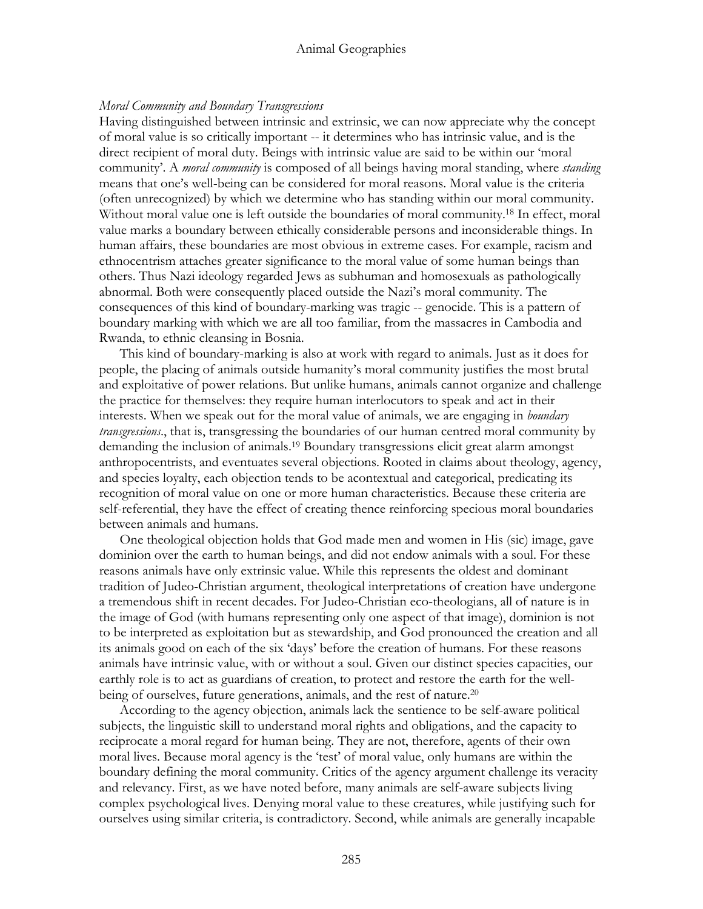#### *Moral Community and Boundary Transgressions*

Having distinguished between intrinsic and extrinsic, we can now appreciate why the concept of moral value is so critically important -- it determines who has intrinsic value, and is the direct recipient of moral duty. Beings with intrinsic value are said to be within our 'moral community'. A *moral community* is composed of all beings having moral standing, where *standing* means that one's well-being can be considered for moral reasons. Moral value is the criteria (often unrecognized) by which we determine who has standing within our moral community. Without moral value one is left outside the boundaries of moral community.18 In effect, moral value marks a boundary between ethically considerable persons and inconsiderable things. In human affairs, these boundaries are most obvious in extreme cases. For example, racism and ethnocentrism attaches greater significance to the moral value of some human beings than others. Thus Nazi ideology regarded Jews as subhuman and homosexuals as pathologically abnormal. Both were consequently placed outside the Nazi's moral community. The consequences of this kind of boundary-marking was tragic -- genocide. This is a pattern of boundary marking with which we are all too familiar, from the massacres in Cambodia and Rwanda, to ethnic cleansing in Bosnia.

This kind of boundary-marking is also at work with regard to animals. Just as it does for people, the placing of animals outside humanity's moral community justifies the most brutal and exploitative of power relations. But unlike humans, animals cannot organize and challenge the practice for themselves: they require human interlocutors to speak and act in their interests. When we speak out for the moral value of animals, we are engaging in *boundary transgressions*., that is, transgressing the boundaries of our human centred moral community by demanding the inclusion of animals.19 Boundary transgressions elicit great alarm amongst anthropocentrists, and eventuates several objections. Rooted in claims about theology, agency, and species loyalty, each objection tends to be acontextual and categorical, predicating its recognition of moral value on one or more human characteristics. Because these criteria are self-referential, they have the effect of creating thence reinforcing specious moral boundaries between animals and humans.

One theological objection holds that God made men and women in His (sic) image, gave dominion over the earth to human beings, and did not endow animals with a soul. For these reasons animals have only extrinsic value. While this represents the oldest and dominant tradition of Judeo-Christian argument, theological interpretations of creation have undergone a tremendous shift in recent decades. For Judeo-Christian eco-theologians, all of nature is in the image of God (with humans representing only one aspect of that image), dominion is not to be interpreted as exploitation but as stewardship, and God pronounced the creation and all its animals good on each of the six 'days' before the creation of humans. For these reasons animals have intrinsic value, with or without a soul. Given our distinct species capacities, our earthly role is to act as guardians of creation, to protect and restore the earth for the wellbeing of ourselves, future generations, animals, and the rest of nature.<sup>20</sup>

According to the agency objection, animals lack the sentience to be self-aware political subjects, the linguistic skill to understand moral rights and obligations, and the capacity to reciprocate a moral regard for human being. They are not, therefore, agents of their own moral lives. Because moral agency is the 'test' of moral value, only humans are within the boundary defining the moral community. Critics of the agency argument challenge its veracity and relevancy. First, as we have noted before, many animals are self-aware subjects living complex psychological lives. Denying moral value to these creatures, while justifying such for ourselves using similar criteria, is contradictory. Second, while animals are generally incapable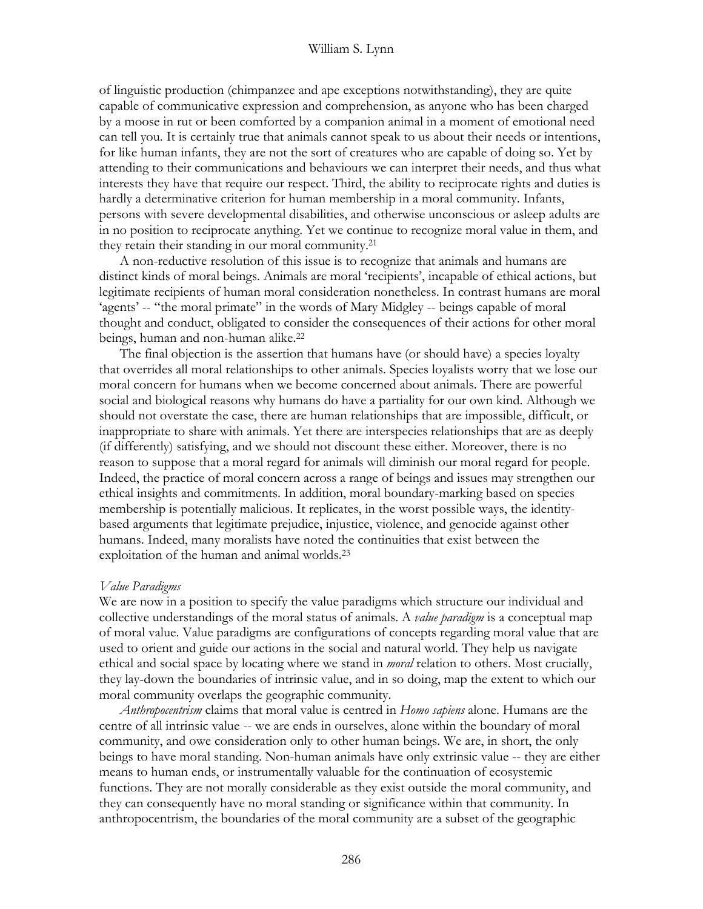of linguistic production (chimpanzee and ape exceptions notwithstanding), they are quite capable of communicative expression and comprehension, as anyone who has been charged by a moose in rut or been comforted by a companion animal in a moment of emotional need can tell you. It is certainly true that animals cannot speak to us about their needs or intentions, for like human infants, they are not the sort of creatures who are capable of doing so. Yet by attending to their communications and behaviours we can interpret their needs, and thus what interests they have that require our respect. Third, the ability to reciprocate rights and duties is hardly a determinative criterion for human membership in a moral community. Infants, persons with severe developmental disabilities, and otherwise unconscious or asleep adults are in no position to reciprocate anything. Yet we continue to recognize moral value in them, and they retain their standing in our moral community.<sup>21</sup>

A non-reductive resolution of this issue is to recognize that animals and humans are distinct kinds of moral beings. Animals are moral 'recipients', incapable of ethical actions, but legitimate recipients of human moral consideration nonetheless. In contrast humans are moral 'agents' -- "the moral primate" in the words of Mary Midgley -- beings capable of moral thought and conduct, obligated to consider the consequences of their actions for other moral beings, human and non-human alike.<sup>22</sup>

The final objection is the assertion that humans have (or should have) a species loyalty that overrides all moral relationships to other animals. Species loyalists worry that we lose our moral concern for humans when we become concerned about animals. There are powerful social and biological reasons why humans do have a partiality for our own kind. Although we should not overstate the case, there are human relationships that are impossible, difficult, or inappropriate to share with animals. Yet there are interspecies relationships that are as deeply (if differently) satisfying, and we should not discount these either. Moreover, there is no reason to suppose that a moral regard for animals will diminish our moral regard for people. Indeed, the practice of moral concern across a range of beings and issues may strengthen our ethical insights and commitments. In addition, moral boundary-marking based on species membership is potentially malicious. It replicates, in the worst possible ways, the identitybased arguments that legitimate prejudice, injustice, violence, and genocide against other humans. Indeed, many moralists have noted the continuities that exist between the exploitation of the human and animal worlds.23

## *Value Paradigms*

We are now in a position to specify the value paradigms which structure our individual and collective understandings of the moral status of animals. A *value paradigm* is a conceptual map of moral value. Value paradigms are configurations of concepts regarding moral value that are used to orient and guide our actions in the social and natural world. They help us navigate ethical and social space by locating where we stand in *moral* relation to others. Most crucially, they lay-down the boundaries of intrinsic value, and in so doing, map the extent to which our moral community overlaps the geographic community.

*Anthropocentrism* claims that moral value is centred in *Homo sapiens* alone. Humans are the centre of all intrinsic value -- we are ends in ourselves, alone within the boundary of moral community, and owe consideration only to other human beings. We are, in short, the only beings to have moral standing. Non-human animals have only extrinsic value -- they are either means to human ends, or instrumentally valuable for the continuation of ecosystemic functions. They are not morally considerable as they exist outside the moral community, and they can consequently have no moral standing or significance within that community. In anthropocentrism, the boundaries of the moral community are a subset of the geographic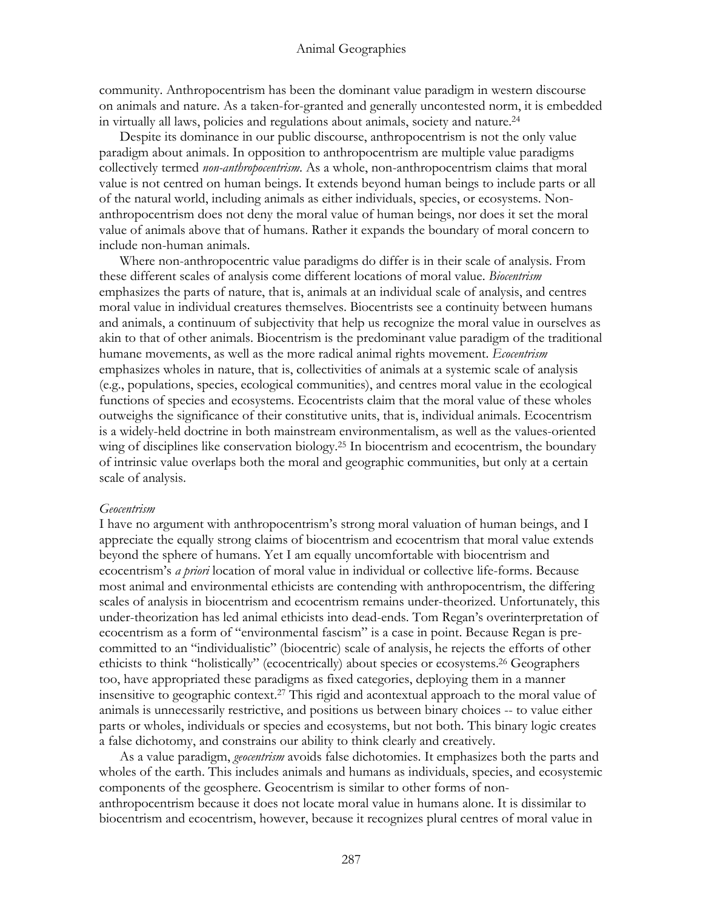community. Anthropocentrism has been the dominant value paradigm in western discourse on animals and nature. As a taken-for-granted and generally uncontested norm, it is embedded in virtually all laws, policies and regulations about animals, society and nature.24

Despite its dominance in our public discourse, anthropocentrism is not the only value paradigm about animals. In opposition to anthropocentrism are multiple value paradigms collectively termed *non-anthropocentrism*. As a whole, non-anthropocentrism claims that moral value is not centred on human beings. It extends beyond human beings to include parts or all of the natural world, including animals as either individuals, species, or ecosystems. Nonanthropocentrism does not deny the moral value of human beings, nor does it set the moral value of animals above that of humans. Rather it expands the boundary of moral concern to include non-human animals.

Where non-anthropocentric value paradigms do differ is in their scale of analysis. From these different scales of analysis come different locations of moral value. *Biocentrism* emphasizes the parts of nature, that is, animals at an individual scale of analysis, and centres moral value in individual creatures themselves. Biocentrists see a continuity between humans and animals, a continuum of subjectivity that help us recognize the moral value in ourselves as akin to that of other animals. Biocentrism is the predominant value paradigm of the traditional humane movements, as well as the more radical animal rights movement. *Ecocentrism* emphasizes wholes in nature, that is, collectivities of animals at a systemic scale of analysis (e.g., populations, species, ecological communities), and centres moral value in the ecological functions of species and ecosystems. Ecocentrists claim that the moral value of these wholes outweighs the significance of their constitutive units, that is, individual animals. Ecocentrism is a widely-held doctrine in both mainstream environmentalism, as well as the values-oriented wing of disciplines like conservation biology.<sup>25</sup> In biocentrism and ecocentrism, the boundary of intrinsic value overlaps both the moral and geographic communities, but only at a certain scale of analysis.

### *Geocentrism*

I have no argument with anthropocentrism's strong moral valuation of human beings, and I appreciate the equally strong claims of biocentrism and ecocentrism that moral value extends beyond the sphere of humans. Yet I am equally uncomfortable with biocentrism and ecocentrism's *a priori* location of moral value in individual or collective life-forms. Because most animal and environmental ethicists are contending with anthropocentrism, the differing scales of analysis in biocentrism and ecocentrism remains under-theorized. Unfortunately, this under-theorization has led animal ethicists into dead-ends. Tom Regan's overinterpretation of ecocentrism as a form of "environmental fascism" is a case in point. Because Regan is precommitted to an "individualistic" (biocentric) scale of analysis, he rejects the efforts of other ethicists to think "holistically" (ecocentrically) about species or ecosystems.26 Geographers too, have appropriated these paradigms as fixed categories, deploying them in a manner insensitive to geographic context.27 This rigid and acontextual approach to the moral value of animals is unnecessarily restrictive, and positions us between binary choices -- to value either parts or wholes, individuals or species and ecosystems, but not both. This binary logic creates a false dichotomy, and constrains our ability to think clearly and creatively.

As a value paradigm, *geocentrism* avoids false dichotomies. It emphasizes both the parts and wholes of the earth. This includes animals and humans as individuals, species, and ecosystemic components of the geosphere. Geocentrism is similar to other forms of nonanthropocentrism because it does not locate moral value in humans alone. It is dissimilar to biocentrism and ecocentrism, however, because it recognizes plural centres of moral value in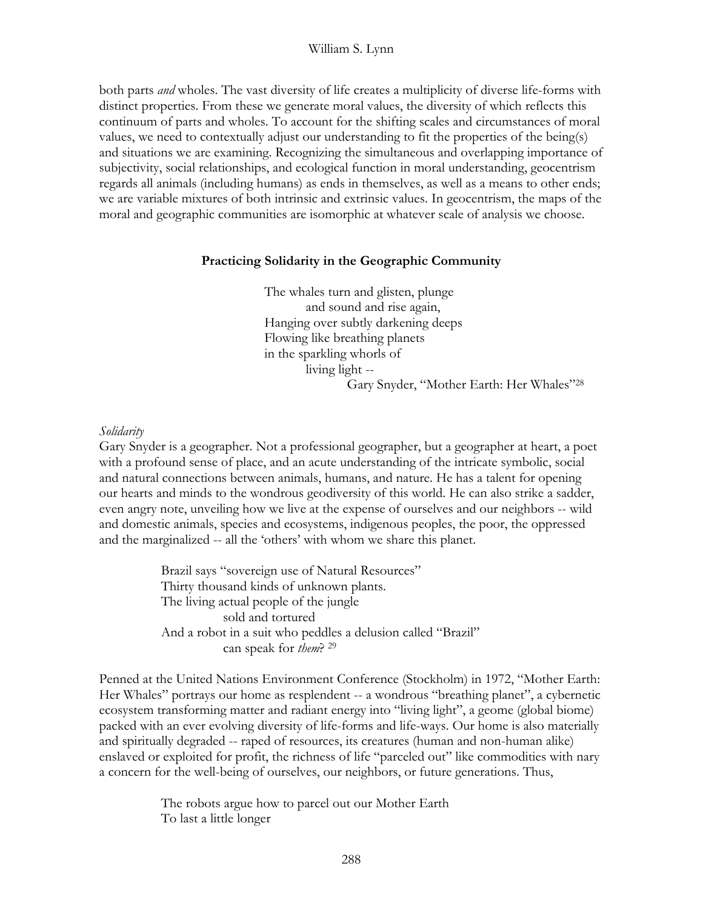both parts *and* wholes. The vast diversity of life creates a multiplicity of diverse life-forms with distinct properties. From these we generate moral values, the diversity of which reflects this continuum of parts and wholes. To account for the shifting scales and circumstances of moral values, we need to contextually adjust our understanding to fit the properties of the being(s) and situations we are examining. Recognizing the simultaneous and overlapping importance of subjectivity, social relationships, and ecological function in moral understanding, geocentrism regards all animals (including humans) as ends in themselves, as well as a means to other ends; we are variable mixtures of both intrinsic and extrinsic values. In geocentrism, the maps of the moral and geographic communities are isomorphic at whatever scale of analysis we choose.

# **Practicing Solidarity in the Geographic Community**

The whales turn and glisten, plunge and sound and rise again, Hanging over subtly darkening deeps Flowing like breathing planets in the sparkling whorls of living light --

Gary Snyder, "Mother Earth: Her Whales"28

# *Solidarity*

Gary Snyder is a geographer. Not a professional geographer, but a geographer at heart, a poet with a profound sense of place, and an acute understanding of the intricate symbolic, social and natural connections between animals, humans, and nature. He has a talent for opening our hearts and minds to the wondrous geodiversity of this world. He can also strike a sadder, even angry note, unveiling how we live at the expense of ourselves and our neighbors -- wild and domestic animals, species and ecosystems, indigenous peoples, the poor, the oppressed and the marginalized -- all the 'others' with whom we share this planet.

> Brazil says "sovereign use of Natural Resources" Thirty thousand kinds of unknown plants. The living actual people of the jungle sold and tortured And a robot in a suit who peddles a delusion called "Brazil" can speak for *them*? 29

Penned at the United Nations Environment Conference (Stockholm) in 1972, "Mother Earth: Her Whales" portrays our home as resplendent -- a wondrous "breathing planet", a cybernetic ecosystem transforming matter and radiant energy into "living light", a geome (global biome) packed with an ever evolving diversity of life-forms and life-ways. Our home is also materially and spiritually degraded -- raped of resources, its creatures (human and non-human alike) enslaved or exploited for profit, the richness of life "parceled out" like commodities with nary a concern for the well-being of ourselves, our neighbors, or future generations. Thus,

> The robots argue how to parcel out our Mother Earth To last a little longer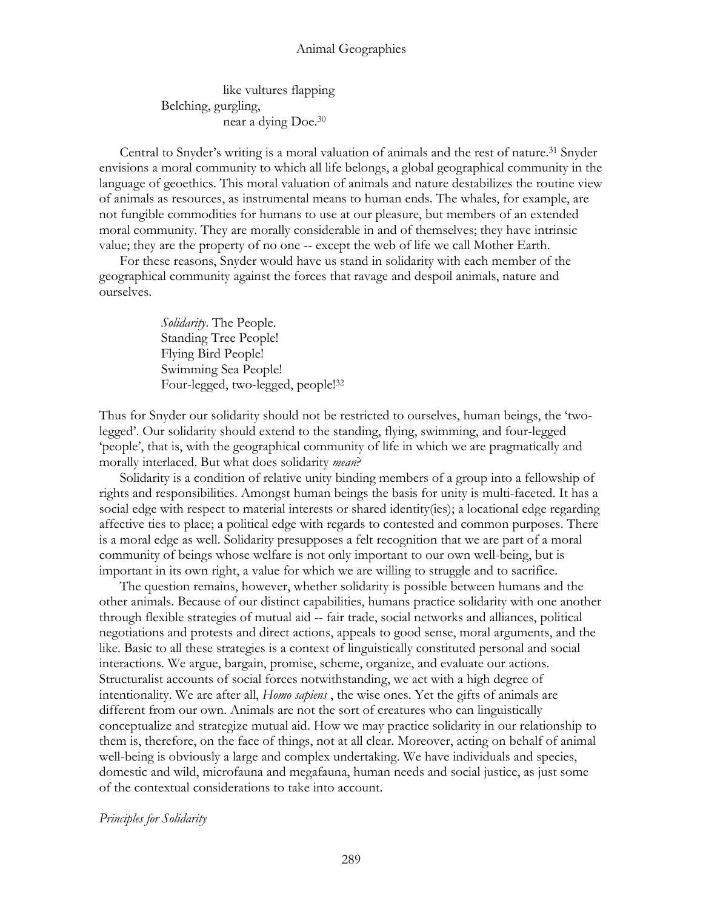like vultures flapping Belching, gurgling, near a dying Doe.30

Central to Snyder's writing is a moral valuation of animals and the rest of nature.31 Snyder envisions a moral community to which all life belongs, a global geographical community in the language of geoethics. This moral valuation of animals and nature destabilizes the routine view of animals as resources, as instrumental means to human ends. The whales, for example, are not fungible commodities for humans to use at our pleasure, but members of an extended moral community. They are morally considerable in and of themselves; they have intrinsic value; they are the property of no one -- except the web of life we call Mother Earth.

For these reasons, Snyder would have us stand in solidarity with each member of the geographical community against the forces that ravage and despoil animals, nature and ourselves.

> *Solidarity*. The People. Standing Tree People! Flying Bird People! Swimming Sea People! Four-legged, two-legged, people!32

Thus for Snyder our solidarity should not be restricted to ourselves, human beings, the 'twolegged'. Our solidarity should extend to the standing, flying, swimming, and four-legged 'people', that is, with the geographical community of life in which we are pragmatically and morally interlaced. But what does solidarity *mean*?

Solidarity is a condition of relative unity binding members of a group into a fellowship of rights and responsibilities. Amongst human beings the basis for unity is multi-faceted. It has a social edge with respect to material interests or shared identity(ies); a locational edge regarding affective ties to place; a political edge with regards to contested and common purposes. There is a moral edge as well. Solidarity presupposes a felt recognition that we are part of a moral community of beings whose welfare is not only important to our own well-being, but is important in its own right, a value for which we are willing to struggle and to sacrifice.

The question remains, however, whether solidarity is possible between humans and the other animals. Because of our distinct capabilities, humans practice solidarity with one another through flexible strategies of mutual aid -- fair trade, social networks and alliances, political negotiations and protests and direct actions, appeals to good sense, moral arguments, and the like. Basic to all these strategies is a context of linguistically constituted personal and social interactions. We argue, bargain, promise, scheme, organize, and evaluate our actions. Structuralist accounts of social forces notwithstanding, we act with a high degree of intentionality. We are after all, *Homo sapiens* , the wise ones. Yet the gifts of animals are different from our own. Animals are not the sort of creatures who can linguistically conceptualize and strategize mutual aid. How we may practice solidarity in our relationship to them is, therefore, on the face of things, not at all clear. Moreover, acting on behalf of animal well-being is obviously a large and complex undertaking. We have individuals and species, domestic and wild, microfauna and megafauna, human needs and social justice, as just some of the contextual considerations to take into account.

*Principles for Solidarity*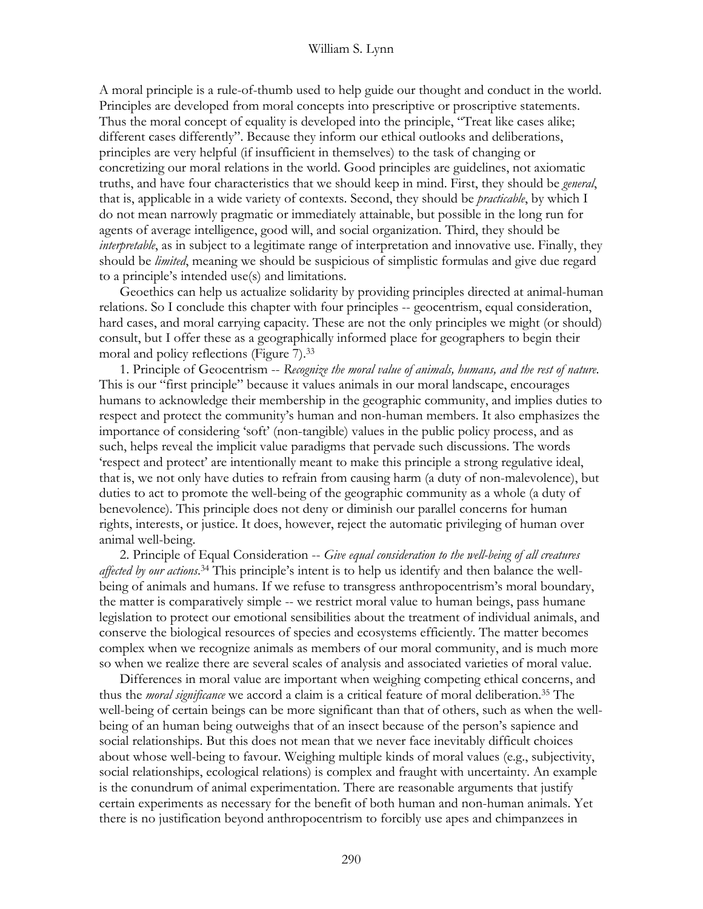A moral principle is a rule-of-thumb used to help guide our thought and conduct in the world. Principles are developed from moral concepts into prescriptive or proscriptive statements. Thus the moral concept of equality is developed into the principle, "Treat like cases alike; different cases differently". Because they inform our ethical outlooks and deliberations, principles are very helpful (if insufficient in themselves) to the task of changing or concretizing our moral relations in the world. Good principles are guidelines, not axiomatic truths, and have four characteristics that we should keep in mind. First, they should be *general*, that is, applicable in a wide variety of contexts. Second, they should be *practicable*, by which I do not mean narrowly pragmatic or immediately attainable, but possible in the long run for agents of average intelligence, good will, and social organization. Third, they should be *interpretable*, as in subject to a legitimate range of interpretation and innovative use. Finally, they should be *limited*, meaning we should be suspicious of simplistic formulas and give due regard to a principle's intended use(s) and limitations.

Geoethics can help us actualize solidarity by providing principles directed at animal-human relations. So I conclude this chapter with four principles -- geocentrism, equal consideration, hard cases, and moral carrying capacity. These are not the only principles we might (or should) consult, but I offer these as a geographically informed place for geographers to begin their moral and policy reflections (Figure 7).33

1. Principle of Geocentrism -- *Recognize the moral value of animals, humans, and the rest of nature*. This is our "first principle" because it values animals in our moral landscape, encourages humans to acknowledge their membership in the geographic community, and implies duties to respect and protect the community's human and non-human members. It also emphasizes the importance of considering 'soft' (non-tangible) values in the public policy process, and as such, helps reveal the implicit value paradigms that pervade such discussions. The words 'respect and protect' are intentionally meant to make this principle a strong regulative ideal, that is, we not only have duties to refrain from causing harm (a duty of non-malevolence), but duties to act to promote the well-being of the geographic community as a whole (a duty of benevolence). This principle does not deny or diminish our parallel concerns for human rights, interests, or justice. It does, however, reject the automatic privileging of human over animal well-being.

2. Principle of Equal Consideration -- *Give equal consideration to the well-being of all creatures affected by our actions*. 34 This principle's intent is to help us identify and then balance the wellbeing of animals and humans. If we refuse to transgress anthropocentrism's moral boundary, the matter is comparatively simple -- we restrict moral value to human beings, pass humane legislation to protect our emotional sensibilities about the treatment of individual animals, and conserve the biological resources of species and ecosystems efficiently. The matter becomes complex when we recognize animals as members of our moral community, and is much more so when we realize there are several scales of analysis and associated varieties of moral value.

Differences in moral value are important when weighing competing ethical concerns, and thus the *moral significance* we accord a claim is a critical feature of moral deliberation.35 The well-being of certain beings can be more significant than that of others, such as when the wellbeing of an human being outweighs that of an insect because of the person's sapience and social relationships. But this does not mean that we never face inevitably difficult choices about whose well-being to favour. Weighing multiple kinds of moral values (e.g., subjectivity, social relationships, ecological relations) is complex and fraught with uncertainty. An example is the conundrum of animal experimentation. There are reasonable arguments that justify certain experiments as necessary for the benefit of both human and non-human animals. Yet there is no justification beyond anthropocentrism to forcibly use apes and chimpanzees in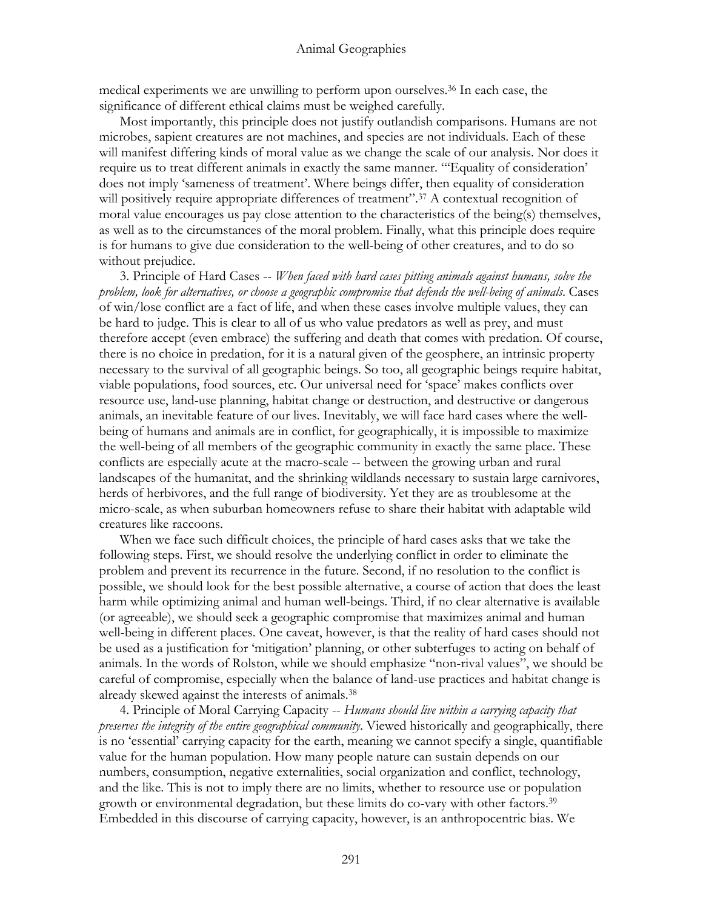medical experiments we are unwilling to perform upon ourselves.36 In each case, the significance of different ethical claims must be weighed carefully.

Most importantly, this principle does not justify outlandish comparisons. Humans are not microbes, sapient creatures are not machines, and species are not individuals. Each of these will manifest differing kinds of moral value as we change the scale of our analysis. Nor does it require us to treat different animals in exactly the same manner. "'Equality of consideration' does not imply 'sameness of treatment'. Where beings differ, then equality of consideration will positively require appropriate differences of treatment".<sup>37</sup> A contextual recognition of moral value encourages us pay close attention to the characteristics of the being(s) themselves, as well as to the circumstances of the moral problem. Finally, what this principle does require is for humans to give due consideration to the well-being of other creatures, and to do so without prejudice.

3. Principle of Hard Cases -- *When faced with hard cases pitting animals against humans, solve the problem, look for alternatives, or choose a geographic compromise that defends the well-being of animals*. Cases of win/lose conflict are a fact of life, and when these cases involve multiple values, they can be hard to judge. This is clear to all of us who value predators as well as prey, and must therefore accept (even embrace) the suffering and death that comes with predation. Of course, there is no choice in predation, for it is a natural given of the geosphere, an intrinsic property necessary to the survival of all geographic beings. So too, all geographic beings require habitat, viable populations, food sources, etc. Our universal need for 'space' makes conflicts over resource use, land-use planning, habitat change or destruction, and destructive or dangerous animals, an inevitable feature of our lives. Inevitably, we will face hard cases where the wellbeing of humans and animals are in conflict, for geographically, it is impossible to maximize the well-being of all members of the geographic community in exactly the same place. These conflicts are especially acute at the macro-scale -- between the growing urban and rural landscapes of the humanitat, and the shrinking wildlands necessary to sustain large carnivores, herds of herbivores, and the full range of biodiversity. Yet they are as troublesome at the micro-scale, as when suburban homeowners refuse to share their habitat with adaptable wild creatures like raccoons.

When we face such difficult choices, the principle of hard cases asks that we take the following steps. First, we should resolve the underlying conflict in order to eliminate the problem and prevent its recurrence in the future. Second, if no resolution to the conflict is possible, we should look for the best possible alternative, a course of action that does the least harm while optimizing animal and human well-beings. Third, if no clear alternative is available (or agreeable), we should seek a geographic compromise that maximizes animal and human well-being in different places. One caveat, however, is that the reality of hard cases should not be used as a justification for 'mitigation' planning, or other subterfuges to acting on behalf of animals. In the words of Rolston, while we should emphasize "non-rival values", we should be careful of compromise, especially when the balance of land-use practices and habitat change is already skewed against the interests of animals.38

4. Principle of Moral Carrying Capacity -- *Humans should live within a carrying capacity that preserves the integrity of the entire geographical community*. Viewed historically and geographically, there is no 'essential' carrying capacity for the earth, meaning we cannot specify a single, quantifiable value for the human population. How many people nature can sustain depends on our numbers, consumption, negative externalities, social organization and conflict, technology, and the like. This is not to imply there are no limits, whether to resource use or population growth or environmental degradation, but these limits do co-vary with other factors.39 Embedded in this discourse of carrying capacity, however, is an anthropocentric bias. We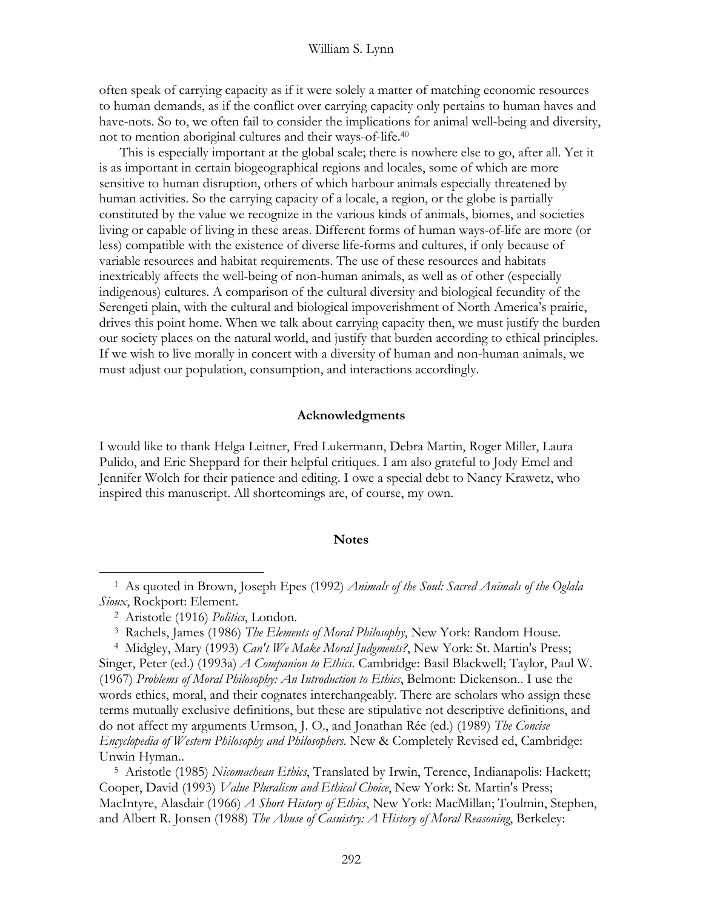often speak of carrying capacity as if it were solely a matter of matching economic resources to human demands, as if the conflict over carrying capacity only pertains to human haves and have-nots. So to, we often fail to consider the implications for animal well-being and diversity, not to mention aboriginal cultures and their ways-of-life.40

This is especially important at the global scale; there is nowhere else to go, after all. Yet it is as important in certain biogeographical regions and locales, some of which are more sensitive to human disruption, others of which harbour animals especially threatened by human activities. So the carrying capacity of a locale, a region, or the globe is partially constituted by the value we recognize in the various kinds of animals, biomes, and societies living or capable of living in these areas. Different forms of human ways-of-life are more (or less) compatible with the existence of diverse life-forms and cultures, if only because of variable resources and habitat requirements. The use of these resources and habitats inextricably affects the well-being of non-human animals, as well as of other (especially indigenous) cultures. A comparison of the cultural diversity and biological fecundity of the Serengeti plain, with the cultural and biological impoverishment of North America's prairie, drives this point home. When we talk about carrying capacity then, we must justify the burden our society places on the natural world, and justify that burden according to ethical principles. If we wish to live morally in concert with a diversity of human and non-human animals, we must adjust our population, consumption, and interactions accordingly.

## **Acknowledgments**

I would like to thank Helga Leitner, Fred Lukermann, Debra Martin, Roger Miller, Laura Pulido, and Eric Sheppard for their helpful critiques. I am also grateful to Jody Emel and Jennifer Wolch for their patience and editing. I owe a special debt to Nancy Krawetz, who inspired this manuscript. All shortcomings are, of course, my own.

#### **Notes**

 $\overline{a}$ 

<sup>1</sup> As quoted in Brown, Joseph Epes (1992) *Animals of the Soul: Sacred Animals of the Oglala Sioux*, Rockport: Element.

<sup>2</sup> Aristotle (1916) *Politics*, London.

<sup>3</sup> Rachels, James (1986) *The Elements of Moral Philosophy*, New York: Random House.

<sup>4</sup> Midgley, Mary (1993) *Can't We Make Moral Judgments?*, New York: St. Martin's Press; Singer, Peter (ed.) (1993a) *A Companion to Ethics*. Cambridge: Basil Blackwell; Taylor, Paul W. (1967) *Problems of Moral Philosophy: An Introduction to Ethics*, Belmont: Dickenson.. I use the words ethics, moral, and their cognates interchangeably. There are scholars who assign these terms mutually exclusive definitions, but these are stipulative not descriptive definitions, and do not affect my arguments Urmson, J. O., and Jonathan Rée (ed.) (1989) *The Concise Encyclopedia of Western Philosophy and Philosophers*. New & Completely Revised ed, Cambridge: Unwin Hyman..

<sup>5</sup> Aristotle (1985) *Nicomachean Ethics*, Translated by Irwin, Terence, Indianapolis: Hackett; Cooper, David (1993) *Value Pluralism and Ethical Choice*, New York: St. Martin's Press; MacIntyre, Alasdair (1966) *A Short History of Ethics*, New York: MacMillan; Toulmin, Stephen, and Albert R. Jonsen (1988) *The Abuse of Casuistry: A History of Moral Reasoning*, Berkeley: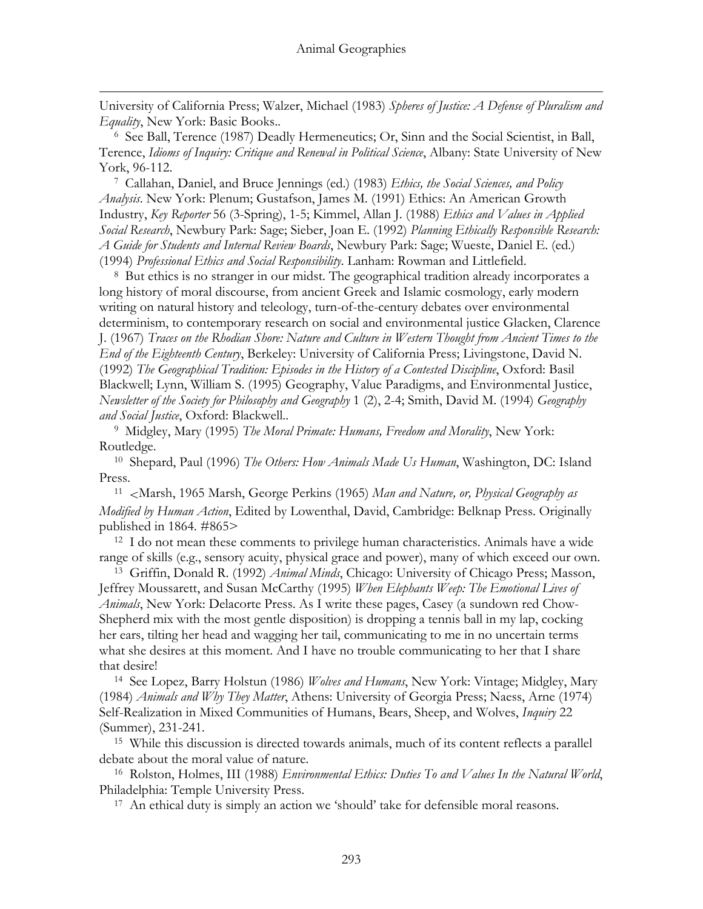University of California Press; Walzer, Michael (1983) *Spheres of Justice: A Defense of Pluralism and Equality*, New York: Basic Books..

 $\overline{a}$ 

6 See Ball, Terence (1987) Deadly Hermeneutics; Or, Sinn and the Social Scientist, in Ball, Terence, *Idioms of Inquiry: Critique and Renewal in Political Science*, Albany: State University of New York, 96-112.

7 Callahan, Daniel, and Bruce Jennings (ed.) (1983) *Ethics, the Social Sciences, and Policy Analysis*. New York: Plenum; Gustafson, James M. (1991) Ethics: An American Growth Industry, *Key Reporter* 56 (3-Spring), 1-5; Kimmel, Allan J. (1988) *Ethics and Values in Applied Social Research*, Newbury Park: Sage; Sieber, Joan E. (1992) *Planning Ethically Responsible Research: A Guide for Students and Internal Review Boards*, Newbury Park: Sage; Wueste, Daniel E. (ed.) (1994) *Professional Ethics and Social Responsibility*. Lanham: Rowman and Littlefield.

8 But ethics is no stranger in our midst. The geographical tradition already incorporates a long history of moral discourse, from ancient Greek and Islamic cosmology, early modern writing on natural history and teleology, turn-of-the-century debates over environmental determinism, to contemporary research on social and environmental justice Glacken, Clarence J. (1967) *Traces on the Rhodian Shore: Nature and Culture in Western Thought from Ancient Times to the End of the Eighteenth Century*, Berkeley: University of California Press; Livingstone, David N. (1992) *The Geographical Tradition: Episodes in the History of a Contested Discipline*, Oxford: Basil Blackwell; Lynn, William S. (1995) Geography, Value Paradigms, and Environmental Justice, *Newsletter of the Society for Philosophy and Geography* 1 (2), 2-4; Smith, David M. (1994) *Geography and Social Justice*, Oxford: Blackwell..

9 Midgley, Mary (1995) *The Moral Primate: Humans, Freedom and Morality*, New York: Routledge.

10 Shepard, Paul (1996) *The Others: How Animals Made Us Human*, Washington, DC: Island Press.

11 <Marsh, 1965 Marsh, George Perkins (1965) *Man and Nature, or, Physical Geography as Modified by Human Action*, Edited by Lowenthal, David, Cambridge: Belknap Press. Originally published in 1864. #865>

<sup>12</sup> I do not mean these comments to privilege human characteristics. Animals have a wide range of skills (e.g., sensory acuity, physical grace and power), many of which exceed our own.

13 Griffin, Donald R. (1992) *Animal Minds*, Chicago: University of Chicago Press; Masson, Jeffrey Moussarett, and Susan McCarthy (1995) *When Elephants Weep: The Emotional Lives of Animals*, New York: Delacorte Press. As I write these pages, Casey (a sundown red Chow-Shepherd mix with the most gentle disposition) is dropping a tennis ball in my lap, cocking her ears, tilting her head and wagging her tail, communicating to me in no uncertain terms what she desires at this moment. And I have no trouble communicating to her that I share that desire!

14 See Lopez, Barry Holstun (1986) *Wolves and Humans*, New York: Vintage; Midgley, Mary (1984) *Animals and Why They Matter*, Athens: University of Georgia Press; Naess, Arne (1974) Self-Realization in Mixed Communities of Humans, Bears, Sheep, and Wolves, *Inquiry* 22 (Summer), 231-241.

15 While this discussion is directed towards animals, much of its content reflects a parallel debate about the moral value of nature.

16 Rolston, Holmes, III (1988) *Environmental Ethics: Duties To and Values In the Natural World*, Philadelphia: Temple University Press.

17 An ethical duty is simply an action we 'should' take for defensible moral reasons.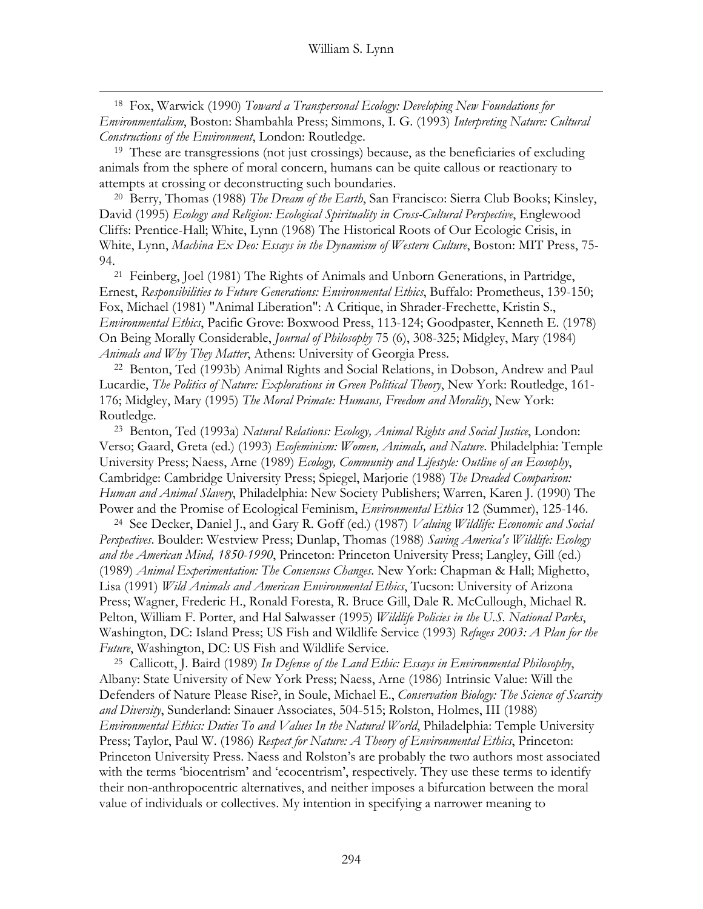18 Fox, Warwick (1990) *Toward a Transpersonal Ecology: Developing New Foundations for Environmentalism*, Boston: Shambahla Press; Simmons, I. G. (1993) *Interpreting Nature: Cultural Constructions of the Environment*, London: Routledge.

 $\overline{a}$ 

19 These are transgressions (not just crossings) because, as the beneficiaries of excluding animals from the sphere of moral concern, humans can be quite callous or reactionary to attempts at crossing or deconstructing such boundaries.

20 Berry, Thomas (1988) *The Dream of the Earth*, San Francisco: Sierra Club Books; Kinsley, David (1995) *Ecology and Religion: Ecological Spirituality in Cross-Cultural Perspective*, Englewood Cliffs: Prentice-Hall; White, Lynn (1968) The Historical Roots of Our Ecologic Crisis, in White, Lynn, *Machina Ex Deo: Essays in the Dynamism of Western Culture*, Boston: MIT Press, 75- 94.

21 Feinberg, Joel (1981) The Rights of Animals and Unborn Generations, in Partridge, Ernest, *Responsibilities to Future Generations: Environmental Ethics*, Buffalo: Prometheus, 139-150; Fox, Michael (1981) "Animal Liberation": A Critique, in Shrader-Frechette, Kristin S., *Environmental Ethics*, Pacific Grove: Boxwood Press, 113-124; Goodpaster, Kenneth E. (1978) On Being Morally Considerable, *Journal of Philosophy* 75 (6), 308-325; Midgley, Mary (1984) *Animals and Why They Matter*, Athens: University of Georgia Press.

22 Benton, Ted (1993b) Animal Rights and Social Relations, in Dobson, Andrew and Paul Lucardie, *The Politics of Nature: Explorations in Green Political Theory*, New York: Routledge, 161- 176; Midgley, Mary (1995) *The Moral Primate: Humans, Freedom and Morality*, New York: Routledge.

23 Benton, Ted (1993a) *Natural Relations: Ecology, Animal Rights and Social Justice*, London: Verso; Gaard, Greta (ed.) (1993) *Ecofeminism: Women, Animals, and Nature*. Philadelphia: Temple University Press; Naess, Arne (1989) *Ecology, Community and Lifestyle: Outline of an Ecosophy*, Cambridge: Cambridge University Press; Spiegel, Marjorie (1988) *The Dreaded Comparison: Human and Animal Slavery*, Philadelphia: New Society Publishers; Warren, Karen J. (1990) The Power and the Promise of Ecological Feminism, *Environmental Ethics* 12 (Summer), 125-146.

24 See Decker, Daniel J., and Gary R. Goff (ed.) (1987) *Valuing Wildlife: Economic and Social Perspectives*. Boulder: Westview Press; Dunlap, Thomas (1988) *Saving America's Wildlife: Ecology and the American Mind, 1850-1990*, Princeton: Princeton University Press; Langley, Gill (ed.) (1989) *Animal Experimentation: The Consensus Changes*. New York: Chapman & Hall; Mighetto, Lisa (1991) *Wild Animals and American Environmental Ethics*, Tucson: University of Arizona Press; Wagner, Frederic H., Ronald Foresta, R. Bruce Gill, Dale R. McCullough, Michael R. Pelton, William F. Porter, and Hal Salwasser (1995) *Wildlife Policies in the U.S. National Parks*, Washington, DC: Island Press; US Fish and Wildlife Service (1993) *Refuges 2003: A Plan for the Future*, Washington, DC: US Fish and Wildlife Service.

25 Callicott, J. Baird (1989) *In Defense of the Land Ethic: Essays in Environmental Philosophy*, Albany: State University of New York Press; Naess, Arne (1986) Intrinsic Value: Will the Defenders of Nature Please Rise?, in Soule, Michael E., *Conservation Biology: The Science of Scarcity and Diversity*, Sunderland: Sinauer Associates, 504-515; Rolston, Holmes, III (1988) *Environmental Ethics: Duties To and Values In the Natural World*, Philadelphia: Temple University Press; Taylor, Paul W. (1986) *Respect for Nature: A Theory of Environmental Ethics*, Princeton: Princeton University Press. Naess and Rolston's are probably the two authors most associated with the terms 'biocentrism' and 'ecocentrism', respectively. They use these terms to identify their non-anthropocentric alternatives, and neither imposes a bifurcation between the moral value of individuals or collectives. My intention in specifying a narrower meaning to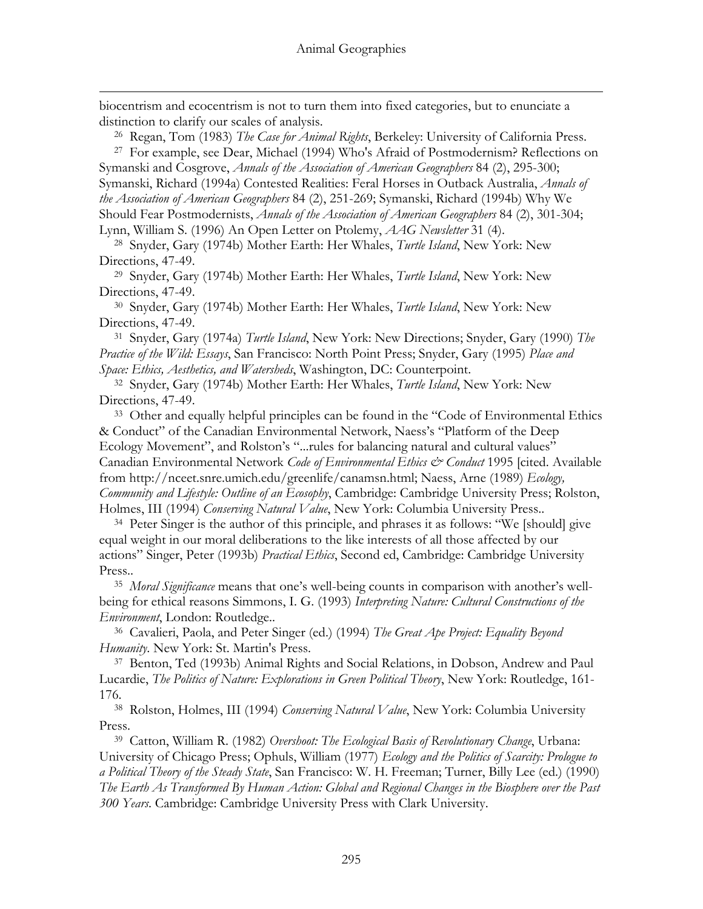biocentrism and ecocentrism is not to turn them into fixed categories, but to enunciate a distinction to clarify our scales of analysis.

 $\overline{a}$ 

26 Regan, Tom (1983) *The Case for Animal Rights*, Berkeley: University of California Press.

27 For example, see Dear, Michael (1994) Who's Afraid of Postmodernism? Reflections on Symanski and Cosgrove, *Annals of the Association of American Geographers* 84 (2), 295-300; Symanski, Richard (1994a) Contested Realities: Feral Horses in Outback Australia, *Annals of the Association of American Geographers* 84 (2), 251-269; Symanski, Richard (1994b) Why We Should Fear Postmodernists, *Annals of the Association of American Geographers* 84 (2), 301-304; Lynn, William S. (1996) An Open Letter on Ptolemy, *AAG Newsletter* 31 (4).

28 Snyder, Gary (1974b) Mother Earth: Her Whales, *Turtle Island*, New York: New Directions, 47-49.

29 Snyder, Gary (1974b) Mother Earth: Her Whales, *Turtle Island*, New York: New Directions, 47-49.

30 Snyder, Gary (1974b) Mother Earth: Her Whales, *Turtle Island*, New York: New Directions, 47-49.

31 Snyder, Gary (1974a) *Turtle Island*, New York: New Directions; Snyder, Gary (1990) *The Practice of the Wild: Essays*, San Francisco: North Point Press; Snyder, Gary (1995) *Place and Space: Ethics, Aesthetics, and Watersheds*, Washington, DC: Counterpoint.

32 Snyder, Gary (1974b) Mother Earth: Her Whales, *Turtle Island*, New York: New Directions, 47-49.

33 Other and equally helpful principles can be found in the "Code of Environmental Ethics & Conduct" of the Canadian Environmental Network, Naess's "Platform of the Deep Ecology Movement", and Rolston's "...rules for balancing natural and cultural values" Canadian Environmental Network *Code of Environmental Ethics & Conduct* 1995 [cited. Available from http://nceet.snre.umich.edu/greenlife/canamsn.html; Naess, Arne (1989) *Ecology, Community and Lifestyle: Outline of an Ecosophy*, Cambridge: Cambridge University Press; Rolston, Holmes, III (1994) *Conserving Natural Value*, New York: Columbia University Press..

34 Peter Singer is the author of this principle, and phrases it as follows: "We [should] give equal weight in our moral deliberations to the like interests of all those affected by our actions" Singer, Peter (1993b) *Practical Ethics*, Second ed, Cambridge: Cambridge University Press..

35 *Moral Significance* means that one's well-being counts in comparison with another's wellbeing for ethical reasons Simmons, I. G. (1993) *Interpreting Nature: Cultural Constructions of the Environment*, London: Routledge..

36 Cavalieri, Paola, and Peter Singer (ed.) (1994) *The Great Ape Project: Equality Beyond Humanity*. New York: St. Martin's Press.

37 Benton, Ted (1993b) Animal Rights and Social Relations, in Dobson, Andrew and Paul Lucardie, *The Politics of Nature: Explorations in Green Political Theory*, New York: Routledge, 161- 176.

38 Rolston, Holmes, III (1994) *Conserving Natural Value*, New York: Columbia University Press.

39 Catton, William R. (1982) *Overshoot: The Ecological Basis of Revolutionary Change*, Urbana: University of Chicago Press; Ophuls, William (1977) *Ecology and the Politics of Scarcity: Prologue to a Political Theory of the Steady State*, San Francisco: W. H. Freeman; Turner, Billy Lee (ed.) (1990) *The Earth As Transformed By Human Action: Global and Regional Changes in the Biosphere over the Past 300 Years*. Cambridge: Cambridge University Press with Clark University.